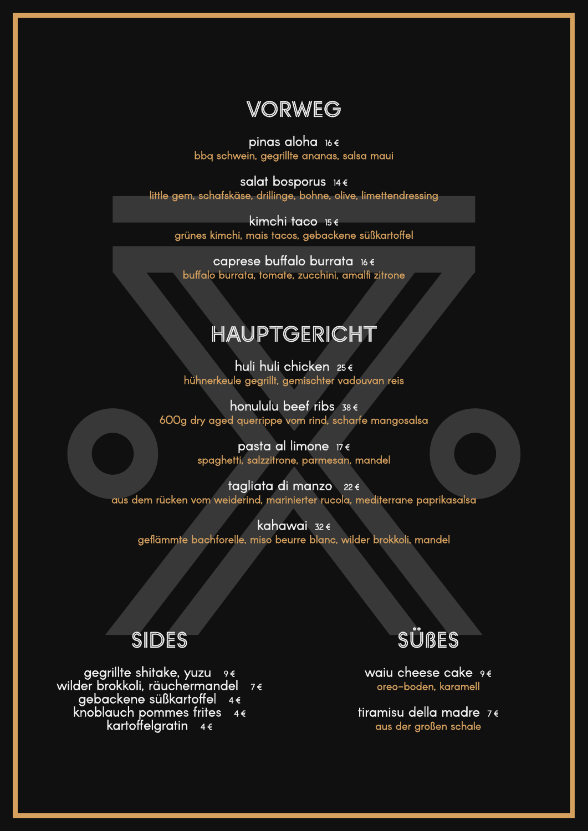### VORWEG

pinas aloha 16€ bbq schwein, gegrillte ananas, salsa maui

salat bosporus 14€ little gem, schafskäse, drillinge, bohne, olive, limettendressing

kimchi taco 15€ grünes kimchi, mais tacos, gebackene süßkartoffel

caprese buffalo burrata 16€ buffalo burrata, tomate, zucchini, amalfi zitrone

honululu beef ribs  $38 \epsilon$ 600g dry aged querrippe vom rind, scharfe mangosalsa

> pasta al limone 17€ spaghetti, salzzitrone, parmesan, mandel

## HAUPTGERICHT

huli huli chicken 25 € hühnerkeule gegrillt, gemischter vadouvan reis

kahawai 32€ geflämmte bachforelle, miso beurre blanc, wilder brokkoli, mandel

> waiu cheese cake 9€ oreo-boden, karamell

tagliata di manzo 22 € aus dem rücken vom weiderind, marinierter rucola, mediterrane paprikasalsa



gegrillte shitake, yuzu⊥ <sub>9€</sub> wilder brokkoli, räuchermandel 7 € gebackene süßkartoffel 4€<br>knoblauch pommes frites 4€ kartoffelgratin 4€

tiramisu della madre 7 € aus der großen schale